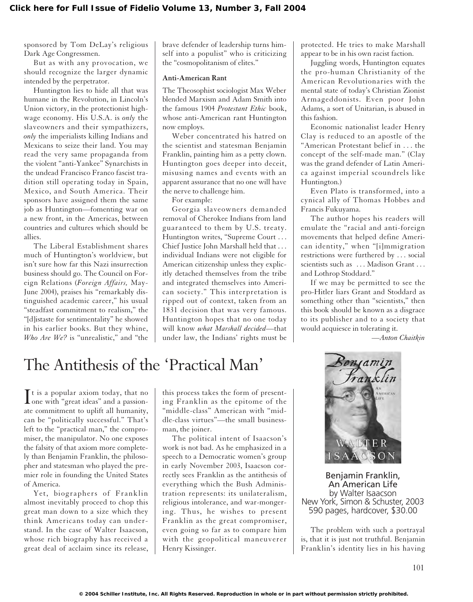sponsored by Tom DeLay's religious Dark Age Congressmen.

But as with any provocation, we should recognize the larger dynamic intended by the perpetrator.

Huntington lies to hide all that was humane in the Revolution, in Lincoln's Union victory, in the protectionist highwage economy. His U.S.A. is *only* the slaveowners and their sympathizers, *only* the imperialists killing Indians and Mexicans to seize their land. You may read the very same propaganda from the violent "anti-Yankee" Synarchists in the undead Francisco Franco fascist tradition still operating today in Spain, Mexico, and South America. Their sponsors have assigned them the same job as Huntington—fomenting war on a new front, in the Americas, between countries and cultures which should be allies.

The Liberal Establishment shares much of Huntington's worldview, but isn't sure how far this Nazi insurrection business should go. The Council on Foreign Relations (*Foreign Affairs,* May-June 2004), praises his "remarkably distinguished academic career," his usual "steadfast commitment to realism," the "[d]istaste for sentimentality" he showed in his earlier books. But they whine, *Who Are We?* is "unrealistic," and "the brave defender of leadership turns himself into a populist" who is criticizing the "cosmopolitanism of elites."

#### **Anti-American Rant**

The Theosophist sociologist Max Weber blended Marxism and Adam Smith into the famous 1904 *Protestant Ethic* book, whose anti-American rant Huntington now employs.

Weber concentrated his hatred on the scientist and statesman Benjamin Franklin, painting him as a petty clown. Huntington goes deeper into deceit, misusing names and events with an apparent assurance that no one will have the nerve to challenge him.

For example:

Georgia slaveowners demanded removal of Cherokee Indians from land guaranteed to them by U.S. treaty. Huntington writes, "Supreme Court . . . Chief Justice John Marshall held that . . . individual Indians were not eligible for American citizenship unless they explicitly detached themselves from the tribe and integrated themselves into American society." This interpretation is ripped out of context, taken from an 1831 decision that was very famous. Huntington hopes that no one today will know *what Marshall decided*—that under law, the Indians' rights must be protected. He tries to make Marshall appear to be in his own racist faction.

Juggling words, Huntington equates the pro-human Christianity of the American Revolutionaries with the mental state of today's Christian Zionist Armageddonists. Even poor John Adams, a sort of Unitarian, is abused in this fashion.

Economic nationalist leader Henry Clay is reduced to an apostle of the "American Protestant belief in . . . the concept of the self-made man." (Clay was the grand defender of Latin America against imperial scoundrels like Huntington.)

Even Plato is transformed, into a cynical ally of Thomas Hobbes and Francis Fukuyama.

The author hopes his readers will emulate the "racial and anti-foreign movements that helped define American identity," when "[i]mmigration restrictions were furthered by . . . social scientists such as ... Madison Grant ... and Lothrop Stoddard."

If we may be permitted to see the pro-Hitler liars Grant and Stoddard as something other than "scientists," then this book should be known as a disgrace to its publisher and to a society that would acquiesce in tolerating it.

*—Anton Chaitkin*

# The Antithesis of the 'Practical Man'

It is a popular axiom today, that no<br>
one with "great ideas" and a passion-It is a popular axiom today, that no ate commitment to uplift all humanity, can be "politically successful." That's left to the "practical man," the compromiser, the manipulator. No one exposes the falsity of that axiom more completely than Benjamin Franklin, the philosopher and statesman who played the premier role in founding the United States of America.

Yet, biographers of Franklin almost inevitably proceed to chop this great man down to a size which they think Americans today can understand. In the case of Walter Isaacson, whose rich biography has received a great deal of acclaim since its release, this process takes the form of presenting Franklin as the epitome of the "middle-class" American with "middle-class virtues"—the small businessman, the joiner.

The political intent of Isaacson's work is not bad. As he emphasized in a speech to a Democratic women's group in early November 2003, Isaacson correctly sees Franklin as the antithesis of everything which the Bush Administration represents: its unilateralism, religious intolerance, and war-mongering. Thus, he wishes to present Franklin as the great compromiser, even going so far as to compare him with the geopolitical maneuverer Henry Kissinger.



Benjamin Franklin, An American Life by Walter Isaacson New York, Simon & Schuster, 2003 590 pages, hardcover, \$30.00

The problem with such a portrayal is, that it is just not truthful. Benjamin Franklin's identity lies in his having